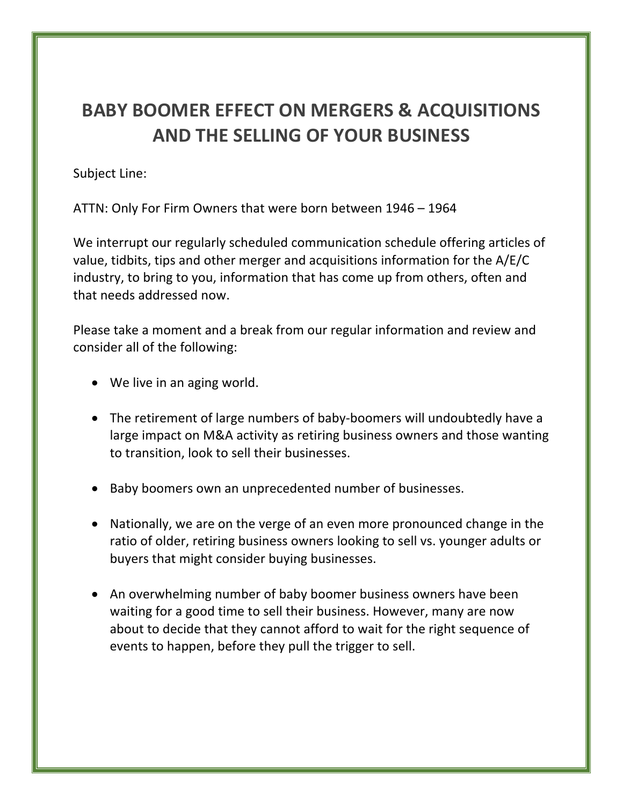## **BABY BOOMER EFFECT ON MERGERS & ACQUISITIONS AND THE SELLING OF YOUR BUSINESS**

Subject Line:

ATTN: Only For Firm Owners that were born between 1946 - 1964

We interrupt our regularly scheduled communication schedule offering articles of value, tidbits, tips and other merger and acquisitions information for the  $A/E/C$ industry, to bring to you, information that has come up from others, often and that needs addressed now.

Please take a moment and a break from our regular information and review and consider all of the following:

- We live in an aging world.
- The retirement of large numbers of baby-boomers will undoubtedly have a large impact on M&A activity as retiring business owners and those wanting to transition, look to sell their businesses.
- Baby boomers own an unprecedented number of businesses.
- Nationally, we are on the verge of an even more pronounced change in the ratio of older, retiring business owners looking to sell vs. younger adults or buyers that might consider buying businesses.
- An overwhelming number of baby boomer business owners have been waiting for a good time to sell their business. However, many are now about to decide that they cannot afford to wait for the right sequence of events to happen, before they pull the trigger to sell.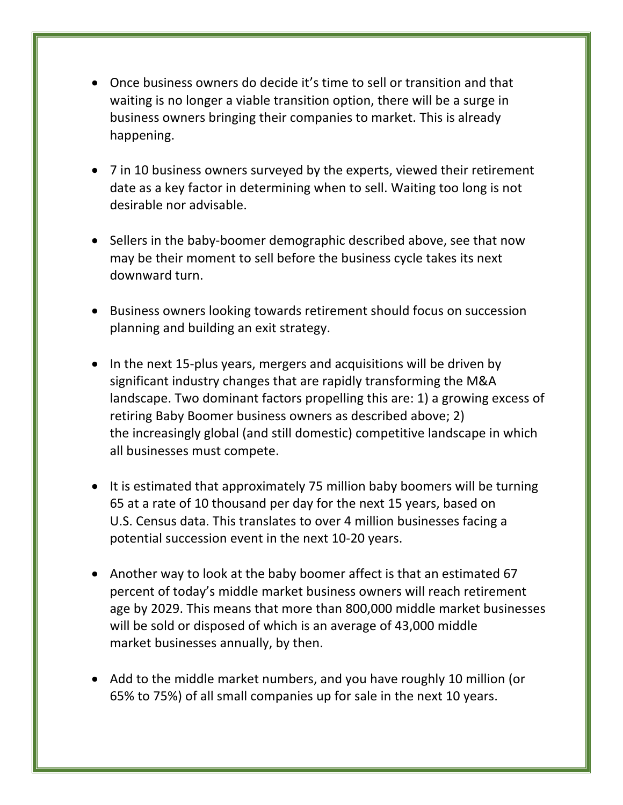- Once business owners do decide it's time to sell or transition and that waiting is no longer a viable transition option, there will be a surge in business owners bringing their companies to market. This is already happening.
- 7 in 10 business owners surveyed by the experts, viewed their retirement date as a key factor in determining when to sell. Waiting too long is not desirable nor advisable.
- Sellers in the baby-boomer demographic described above, see that now may be their moment to sell before the business cycle takes its next downward turn.
- Business owners looking towards retirement should focus on succession planning and building an exit strategy.
- In the next 15-plus years, mergers and acquisitions will be driven by significant industry changes that are rapidly transforming the M&A landscape. Two dominant factors propelling this are: 1) a growing excess of retiring Baby Boomer business owners as described above; 2) the increasingly global (and still domestic) competitive landscape in which all businesses must compete.
- It is estimated that approximately 75 million baby boomers will be turning 65 at a rate of 10 thousand per day for the next 15 years, based on U.S. Census data. This translates to over 4 million businesses facing a potential succession event in the next 10-20 years.
- Another way to look at the baby boomer affect is that an estimated 67 percent of today's middle market business owners will reach retirement age by 2029. This means that more than 800,000 middle market businesses will be sold or disposed of which is an average of 43,000 middle market businesses annually, by then.
- Add to the middle market numbers, and you have roughly 10 million (or 65% to 75%) of all small companies up for sale in the next 10 years.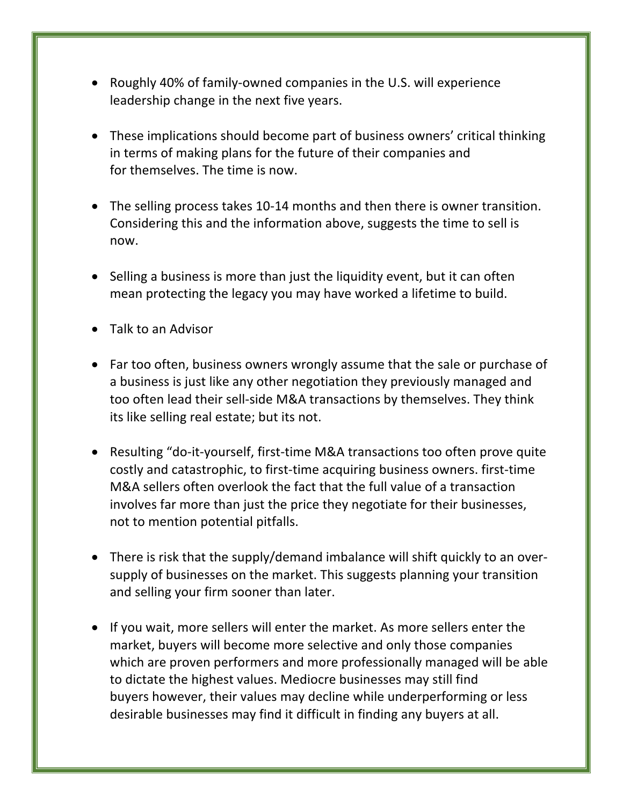- Roughly 40% of family-owned companies in the U.S. will experience leadership change in the next five years.
- These implications should become part of business owners' critical thinking in terms of making plans for the future of their companies and for themselves. The time is now.
- The selling process takes 10-14 months and then there is owner transition. Considering this and the information above, suggests the time to sell is now.
- Selling a business is more than just the liquidity event, but it can often mean protecting the legacy you may have worked a lifetime to build.
- Talk to an Advisor
- Far too often, business owners wrongly assume that the sale or purchase of a business is just like any other negotiation they previously managed and too often lead their sell-side M&A transactions by themselves. They think its like selling real estate; but its not.
- Resulting "do-it-yourself, first-time M&A transactions too often prove quite costly and catastrophic, to first-time acquiring business owners. first-time M&A sellers often overlook the fact that the full value of a transaction involves far more than just the price they negotiate for their businesses, not to mention potential pitfalls.
- There is risk that the supply/demand imbalance will shift quickly to an oversupply of businesses on the market. This suggests planning your transition and selling your firm sooner than later.
- If you wait, more sellers will enter the market. As more sellers enter the market, buyers will become more selective and only those companies which are proven performers and more professionally managed will be able to dictate the highest values. Mediocre businesses may still find buyers however, their values may decline while underperforming or less desirable businesses may find it difficult in finding any buyers at all.